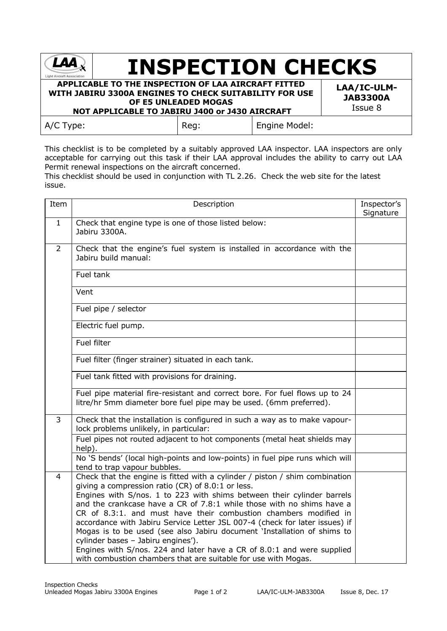| <b>Light Aircraft Association</b>                                                                                                                               | <b>INSPECTION CHECKS</b>                  |               |  |
|-----------------------------------------------------------------------------------------------------------------------------------------------------------------|-------------------------------------------|---------------|--|
| APPLICABLE TO THE INSPECTION OF LAA AIRCRAFT FITTED<br>WITH JABIRU 3300A ENGINES TO CHECK SUITABILITY FOR USE<br>NOT APPLICABLE TO JABIRU J400 or J430 AIRCRAFT | LAA/IC-ULM-<br><b>JAB3300A</b><br>Issue 8 |               |  |
| $A/C$ Type:                                                                                                                                                     | Reg:                                      | Engine Model: |  |

This checklist is to be completed by a suitably approved LAA inspector. LAA inspectors are only acceptable for carrying out this task if their LAA approval includes the ability to carry out LAA Permit renewal inspections on the aircraft concerned.

This checklist should be used in conjunction with TL 2.26. Check the web site for the latest issue.

| Item         | Description                                                                                                                                                                                                                                                                                                                                                                                                                                                                                                                                                                                                                       |  |
|--------------|-----------------------------------------------------------------------------------------------------------------------------------------------------------------------------------------------------------------------------------------------------------------------------------------------------------------------------------------------------------------------------------------------------------------------------------------------------------------------------------------------------------------------------------------------------------------------------------------------------------------------------------|--|
| $\mathbf{1}$ | Check that engine type is one of those listed below:<br>Jabiru 3300A.                                                                                                                                                                                                                                                                                                                                                                                                                                                                                                                                                             |  |
| 2            | Check that the engine's fuel system is installed in accordance with the<br>Jabiru build manual:                                                                                                                                                                                                                                                                                                                                                                                                                                                                                                                                   |  |
|              | Fuel tank                                                                                                                                                                                                                                                                                                                                                                                                                                                                                                                                                                                                                         |  |
|              | Vent                                                                                                                                                                                                                                                                                                                                                                                                                                                                                                                                                                                                                              |  |
|              | Fuel pipe / selector                                                                                                                                                                                                                                                                                                                                                                                                                                                                                                                                                                                                              |  |
|              | Electric fuel pump.                                                                                                                                                                                                                                                                                                                                                                                                                                                                                                                                                                                                               |  |
|              | <b>Fuel filter</b>                                                                                                                                                                                                                                                                                                                                                                                                                                                                                                                                                                                                                |  |
|              | Fuel filter (finger strainer) situated in each tank.                                                                                                                                                                                                                                                                                                                                                                                                                                                                                                                                                                              |  |
|              | Fuel tank fitted with provisions for draining.                                                                                                                                                                                                                                                                                                                                                                                                                                                                                                                                                                                    |  |
|              | Fuel pipe material fire-resistant and correct bore. For fuel flows up to 24<br>litre/hr 5mm diameter bore fuel pipe may be used. (6mm preferred).                                                                                                                                                                                                                                                                                                                                                                                                                                                                                 |  |
| 3            | Check that the installation is configured in such a way as to make vapour-<br>lock problems unlikely, in particular:                                                                                                                                                                                                                                                                                                                                                                                                                                                                                                              |  |
|              | Fuel pipes not routed adjacent to hot components (metal heat shields may<br>help).                                                                                                                                                                                                                                                                                                                                                                                                                                                                                                                                                |  |
|              | No 'S bends' (local high-points and low-points) in fuel pipe runs which will<br>tend to trap vapour bubbles.                                                                                                                                                                                                                                                                                                                                                                                                                                                                                                                      |  |
| 4            | Check that the engine is fitted with a cylinder / piston / shim combination<br>giving a compression ratio (CR) of 8.0:1 or less.<br>Engines with S/nos. 1 to 223 with shims between their cylinder barrels<br>and the crankcase have a CR of 7.8:1 while those with no shims have a<br>CR of 8.3:1. and must have their combustion chambers modified in<br>accordance with Jabiru Service Letter JSL 007-4 (check for later issues) if<br>Mogas is to be used (see also Jabiru document 'Installation of shims to<br>cylinder bases - Jabiru engines').<br>Engines with S/nos. 224 and later have a CR of 8.0:1 and were supplied |  |
|              | with combustion chambers that are suitable for use with Mogas.                                                                                                                                                                                                                                                                                                                                                                                                                                                                                                                                                                    |  |